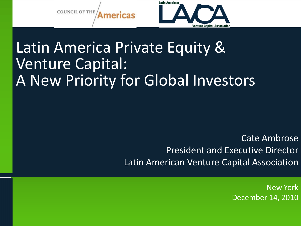

# Latin America Private Equity & Venture Capital: A New Priority for Global Investors

Cate Ambrose President and Executive Director Latin American Venture Capital Association

> New York December 14, 2010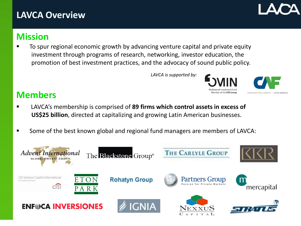#### **LAVCA Overview**

## **Mission**

 To spur regional economic growth by advancing venture capital and private equity investment through programs of research, networking, investor education, the promotion of best investment practices, and the advocacy of sound public policy.

*LAVCA is supported by:*

#### **Members**

- LAVCA's membership is comprised of **89 firms which control assets in excess of US\$25 billion**, directed at capitalizing and growing Latin American businesses.
- **Some of the best known global and regional fund managers are members of LAVCA:**





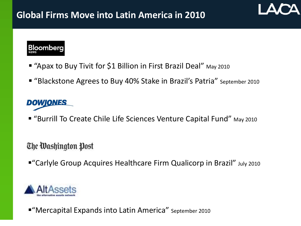

- "Apax to Buy Tivit for \$1 Billion in First Brazil Deal" May 2010
- "Blackstone Agrees to Buy 40% Stake in Brazil's Patria" September 2010

## **DOWJONES**

■ "Burrill To Create Chile Life Sciences Venture Capital Fund" May 2010

#### The Washington Post

"Carlyle Group Acquires Healthcare Firm Qualicorp in Brazil" July 2010



■ "Mercapital Expands into Latin America" September 2010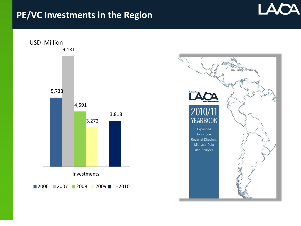#### **PE/VC Investments in the Region**



LACA

5,738

USD Million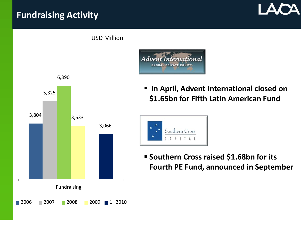### **Fundraising Activity**



4,591 **\$1.65bn for Fifth Latin American Fund**

**In April, Advent International closed on**

3,818

Advent International **GLOBAL PRIVATE EQUITY** 

> Southern Cross  $P$  |

T A

**Southern Cross raised \$1.68bn for its** 

**Fourth PE Fund, announced in September**

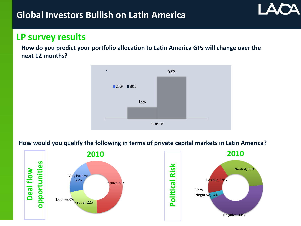#### **LP survey results**

**How do you predict your portfolio allocation to Latin America GPs will change over the next 12 months?**



#### **How would you qualify the following in terms of private capital markets in Latin America?**

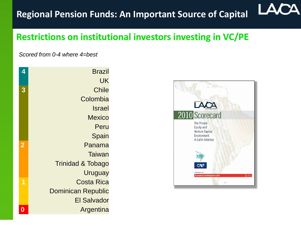#### LA **Regional Pension Funds: An Important Source of Capital**

#### **Restrictions on institutional investors investing in VC/PE**

*Scored from 0-4 where 4=best*

| 4 | <b>Brazil</b>                |
|---|------------------------------|
|   | UK                           |
| 3 | <b>Chile</b>                 |
|   | Colombia                     |
|   | <b>Israel</b>                |
|   | <b>Mexico</b>                |
|   | Peru                         |
|   | Spain                        |
|   | Panama                       |
|   | Taiwan                       |
|   | <b>Trinidad &amp; Tobago</b> |
|   | Uruguay                      |
| 1 | <b>Costa Rica</b>            |
|   | <b>Dominican Republic</b>    |
|   | <b>El Salvador</b>           |
| 0 | Argentina                    |
|   |                              |

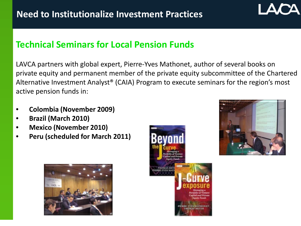#### **Technical Seminars for Local Pension Funds**

LAVCA partners with global expert, Pierre-Yves Mathonet, author of several books on private equity and permanent member of the private equity subcommittee of the Chartered Alternative Investment Analyst® (CAIA) Program to execute seminars for the region's most active pension funds in:

- **Colombia (November 2009)**
- **Brazil (March 2010)**
- **Mexico (November 2010)**
- **Peru (scheduled for March 2011)**





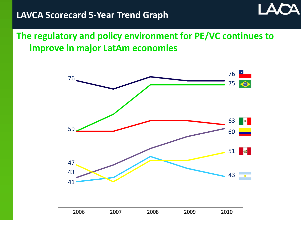**The regulatory and policy environment for PE/VC continues to improve in major LatAm economies** 

Δ

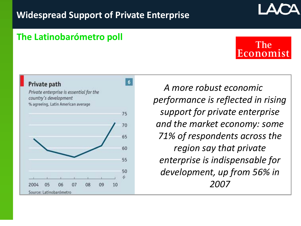$6\phantom{.}$ 

75

70

65

60

55

50

10

09

08

#### **The Latinobarómetro poll**

Private enterprise is essential for the

% agreeing, Latin American average

Private path

2004

05

Source: Latinobarómetro

06

07

country's development

*A more robust economic performance is reflected in rising support for private enterprise and the market economy: some 71% of respondents across the region say that private enterprise is indispensable for development, up from 56% in 2007*

The Economist